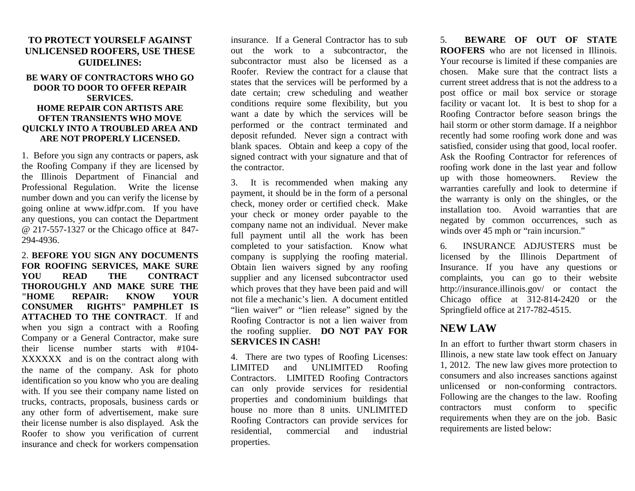## **TO PROTECT YOURSELF AGAINST UNLICENSED ROOFERS, USE THESE GUIDELINES:**

## **BE WARY OF CONTRACTORS WHO GO DOOR TO DOOR TO OFFER REPAIR SERVICES. HOME REPAIR CON ARTISTS ARE OFTEN TRANSIENTS WHO MOVE QUICKLY INTO A TROUBLED AREA AND ARE NOT PROPERLY LICENSED.**

1. Before you sign any contracts or papers, ask the Roofing Company if they are licensed by the Illinois Department of Financial and Professional Regulation. Write the license number down and you can verify the license by going online at www.idfpr.com. If you have any questions, you can contact the Department @ 217-557-1327 or the Chicago office at 847- 294-4936.

2. **BEFORE YOU SIGN ANY DOCUMENTS FOR ROOFING SERVICES, MAKE SURE YOU READ THE CONTRACT THOROUGHLY AND MAKE SURE THE "HOME REPAIR: KNOW YOUR CONSUMER RIGHTS" PAMPHLET IS ATTACHED TO THE CONTRACT**. If and when you sign a contract with a Roofing Company or a General Contractor, make sure their license number starts with #104- XXXXXX and is on the contract along with the name of the company. Ask for photo identification so you know who you are dealing with. If you see their company name listed on trucks, contracts, proposals, business cards or any other form of advertisement, make sure their license number is also displayed. Ask the Roofer to show you verification of current insurance and check for workers compensation

insurance. If a General Contractor has to sub out the work to a subcontractor, the subcontractor must also be licensed as a Roofer. Review the contract for a clause that states that the services will be performed by a date certain; crew scheduling and weather conditions require some flexibility, but you want a date by which the services will be performed or the contract terminated and deposit refunded. Never sign a contract with blank spaces. Obtain and keep a copy of the signed contract with your signature and that of the contractor.

3. It is recommended when making any payment, it should be in the form of a personal check, money order or certified check. Make your check or money order payable to the company name not an individual. Never make full payment until all the work has been completed to your satisfaction. Know what company is supplying the roofing material. Obtain lien waivers signed by any roofing supplier and any licensed subcontractor used which proves that they have been paid and will not file a mechanic's lien. A document entitled "lien waiver" or "lien release" signed by the Roofing Contractor is not a lien waiver from the roofing supplier. **DO NOT PAY FOR SERVICES IN CASH!**

4. There are two types of Roofing Licenses: LIMITED and UNLIMITED Roofing Contractors. LIMITED Roofing Contractors can only provide services for residential properties and condominium buildings that house no more than 8 units. UNLIMITED Roofing Contractors can provide services for residential, commercial and industrial properties.

5. **BEWARE OF OUT OF STATE ROOFERS** who are not licensed in Illinois. Your recourse is limited if these companies are chosen. Make sure that the contract lists a current street address that is not the address to a post office or mail box service or storage facility or vacant lot. It is best to shop for a Roofing Contractor before season brings the hail storm or other storm damage. If a neighbor recently had some roofing work done and was satisfied, consider using that good, local roofer. Ask the Roofing Contractor for references of roofing work done in the last year and follow up with those homeowners. Review the warranties carefully and look to determine if the warranty is only on the shingles, or the installation too. Avoid warranties that are negated by common occurrences, such as winds over 45 mph or "rain incursion."

6. INSURANCE ADJUSTERS must be licensed by the Illinois Department of Insurance. If you have any questions or complaints, you can go to their website http://insurance.illinois.gov/ or contact the Chicago office at 312-814-2420 or the Springfield office at 217-782-4515.

## **NEW LAW**

In an effort to further thwart storm chasers in Illinois, a new state law took effect on January 1, 2012. The new law gives more protection to consumers and also increases sanctions against unlicensed or non-conforming contractors. Following are the changes to the law. Roofing contractors must conform to specific requirements when they are on the job. Basic requirements are listed below: